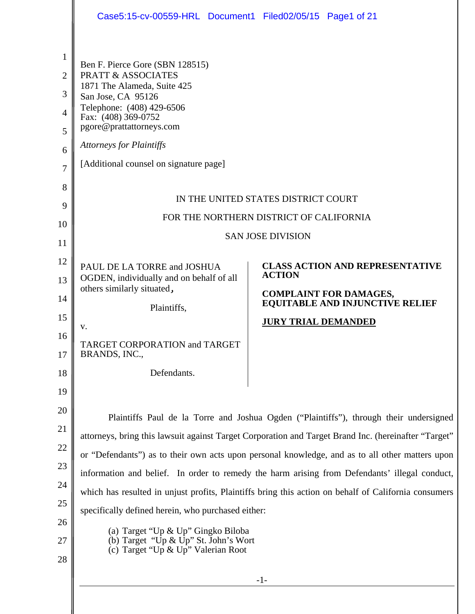|                                                                        | Case5:15-cv-00559-HRL Document1 Filed02/05/15 Page1 of 21                                                                                                                                                                                                                                                                                                                                                                                                                                                                                                                                                                                                                               |  |
|------------------------------------------------------------------------|-----------------------------------------------------------------------------------------------------------------------------------------------------------------------------------------------------------------------------------------------------------------------------------------------------------------------------------------------------------------------------------------------------------------------------------------------------------------------------------------------------------------------------------------------------------------------------------------------------------------------------------------------------------------------------------------|--|
| 1<br>$\overline{2}$<br>3<br>$\overline{4}$<br>5<br>6<br>$\overline{7}$ | Ben F. Pierce Gore (SBN 128515)<br><b>PRATT &amp; ASSOCIATES</b><br>1871 The Alameda, Suite 425<br>San Jose, CA 95126<br>Telephone: (408) 429-6506<br>Fax: (408) 369-0752<br>pgore@prattattorneys.com<br><b>Attorneys for Plaintiffs</b><br>[Additional counsel on signature page]                                                                                                                                                                                                                                                                                                                                                                                                      |  |
| 8<br>9<br>10<br>11                                                     | IN THE UNITED STATES DISTRICT COURT<br>FOR THE NORTHERN DISTRICT OF CALIFORNIA<br><b>SAN JOSE DIVISION</b>                                                                                                                                                                                                                                                                                                                                                                                                                                                                                                                                                                              |  |
| 12<br>13<br>14<br>15<br>16<br>17<br>18                                 | <b>CLASS ACTION AND REPRESENTATIVE</b><br>PAUL DE LA TORRE and JOSHUA<br><b>ACTION</b><br>OGDEN, individually and on behalf of all<br>others similarly situated,<br><b>COMPLAINT FOR DAMAGES,</b><br><b>EQUITABLE AND INJUNCTIVE RELIEF</b><br>Plaintiffs,<br><b>JURY TRIAL DEMANDED</b><br>V.<br>TARGET CORPORATION and TARGET<br>BRANDS, INC.,<br>Defendants.                                                                                                                                                                                                                                                                                                                         |  |
| 19<br>20<br>21<br>22<br>23<br>24<br>25<br>26<br>27                     | Plaintiffs Paul de la Torre and Joshua Ogden ("Plaintiffs"), through their undersigned<br>attorneys, bring this lawsuit against Target Corporation and Target Brand Inc. (hereinafter "Target"<br>or "Defendants") as to their own acts upon personal knowledge, and as to all other matters upon<br>information and belief. In order to remedy the harm arising from Defendants' illegal conduct,<br>which has resulted in unjust profits, Plaintiffs bring this action on behalf of California consumers<br>specifically defined herein, who purchased either:<br>(a) Target "Up & Up" Gingko Biloba<br>(b) Target "Up & Up" St. John's Wort<br>(c) Target "Up $\&$ Up" Valerian Root |  |
| 28                                                                     | $-1-$                                                                                                                                                                                                                                                                                                                                                                                                                                                                                                                                                                                                                                                                                   |  |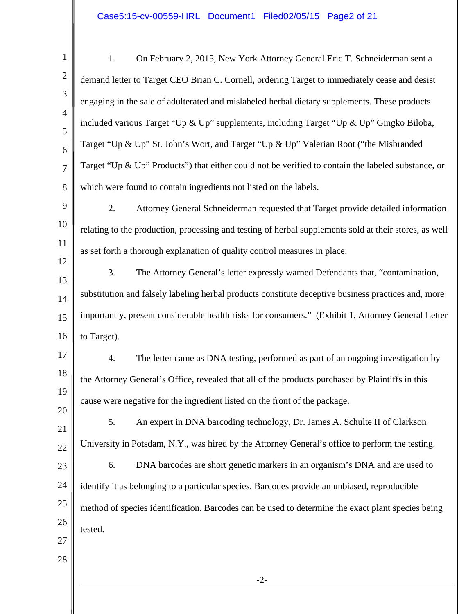## Case5:15-cv-00559-HRL Document1 Filed02/05/15 Page2 of 21

| On February 2, 2015, New York Attorney General Eric T. Schneiderman sent a<br>1.                       |  |
|--------------------------------------------------------------------------------------------------------|--|
| demand letter to Target CEO Brian C. Cornell, ordering Target to immediately cease and desist          |  |
| engaging in the sale of adulterated and mislabeled herbal dietary supplements. These products          |  |
| included various Target "Up & Up" supplements, including Target "Up & Up" Gingko Biloba,               |  |
| Target "Up & Up" St. John's Wort, and Target "Up & Up" Valerian Root ("the Misbranded                  |  |
| Target "Up & Up" Products") that either could not be verified to contain the labeled substance, or     |  |
| which were found to contain ingredients not listed on the labels.                                      |  |
| 2.<br>Attorney General Schneiderman requested that Target provide detailed information                 |  |
| relating to the production, processing and testing of herbal supplements sold at their stores, as well |  |
| as set forth a thorough explanation of quality control measures in place.                              |  |
| 3.<br>The Attorney General's letter expressly warned Defendants that, "contamination,                  |  |
| substitution and falsely labeling herbal products constitute deceptive business practices and, more    |  |
| importantly, present considerable health risks for consumers." (Exhibit 1, Attorney General Letter     |  |
| to Target).                                                                                            |  |
| The letter came as DNA testing, performed as part of an ongoing investigation by<br>4.                 |  |
| the Attorney General's Office, revealed that all of the products purchased by Plaintiffs in this       |  |
| cause were negative for the ingredient listed on the front of the package.                             |  |
| 5.<br>An expert in DNA barcoding technology, Dr. James A. Schulte II of Clarkson                       |  |
| University in Potsdam, N.Y., was hired by the Attorney General's office to perform the testing.        |  |
| DNA barcodes are short genetic markers in an organism's DNA and are used to<br>6.                      |  |
| identify it as belonging to a particular species. Barcodes provide an unbiased, reproducible           |  |
| method of species identification. Barcodes can be used to determine the exact plant species being      |  |
| tested.                                                                                                |  |
|                                                                                                        |  |
| $-2-$                                                                                                  |  |
|                                                                                                        |  |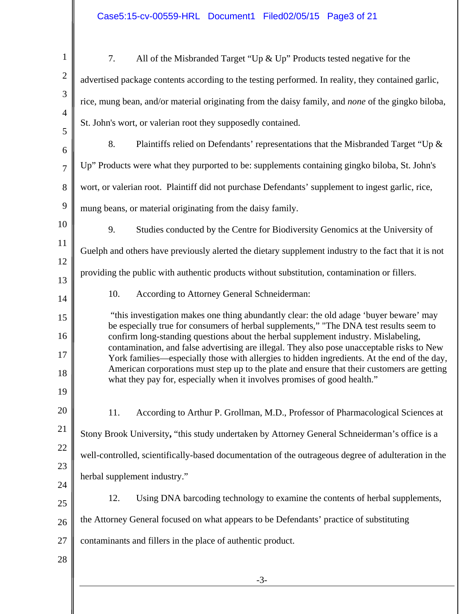| $\mathbf{1}$   | 7.<br>All of the Misbranded Target "Up $\&$ Up" Products tested negative for the                                                                                                          |
|----------------|-------------------------------------------------------------------------------------------------------------------------------------------------------------------------------------------|
| $\overline{2}$ | advertised package contents according to the testing performed. In reality, they contained garlic,                                                                                        |
| 3              | rice, mung bean, and/or material originating from the daisy family, and none of the gingko biloba,                                                                                        |
| $\overline{4}$ | St. John's wort, or valerian root they supposedly contained.                                                                                                                              |
| 5<br>6         | 8.<br>Plaintiffs relied on Defendants' representations that the Misbranded Target "Up &                                                                                                   |
| $\overline{7}$ | Up" Products were what they purported to be: supplements containing gingko biloba, St. John's                                                                                             |
| 8              | wort, or valerian root. Plaintiff did not purchase Defendants' supplement to ingest garlic, rice,                                                                                         |
| 9              | mung beans, or material originating from the daisy family.                                                                                                                                |
| 10             | 9.<br>Studies conducted by the Centre for Biodiversity Genomics at the University of                                                                                                      |
| 11             | Guelph and others have previously alerted the dietary supplement industry to the fact that it is not                                                                                      |
| 12             | providing the public with authentic products without substitution, contamination or fillers.                                                                                              |
| 13             | 10.<br>According to Attorney General Schneiderman:                                                                                                                                        |
| 14<br>15       | "this investigation makes one thing abundantly clear: the old adage 'buyer beware' may                                                                                                    |
| 16             | be especially true for consumers of herbal supplements," "The DNA test results seem to<br>confirm long-standing questions about the herbal supplement industry. Mislabeling,              |
| 17             | contamination, and false advertising are illegal. They also pose unacceptable risks to New<br>York families—especially those with allergies to hidden ingredients. At the end of the day, |
| 18             | American corporations must step up to the plate and ensure that their customers are getting<br>what they pay for, especially when it involves promises of good health."                   |
| 19             |                                                                                                                                                                                           |
| 20             | According to Arthur P. Grollman, M.D., Professor of Pharmacological Sciences at<br>11.                                                                                                    |
| 21             | Stony Brook University, "this study undertaken by Attorney General Schneiderman's office is a                                                                                             |
| 22             | well-controlled, scientifically-based documentation of the outrageous degree of adulteration in the                                                                                       |
| 23             | herbal supplement industry."                                                                                                                                                              |
| 24<br>25       | 12.<br>Using DNA barcoding technology to examine the contents of herbal supplements,                                                                                                      |
| 26             | the Attorney General focused on what appears to be Defendants' practice of substituting                                                                                                   |
| 27             | contaminants and fillers in the place of authentic product.                                                                                                                               |
| 28             |                                                                                                                                                                                           |
|                | $-3-$                                                                                                                                                                                     |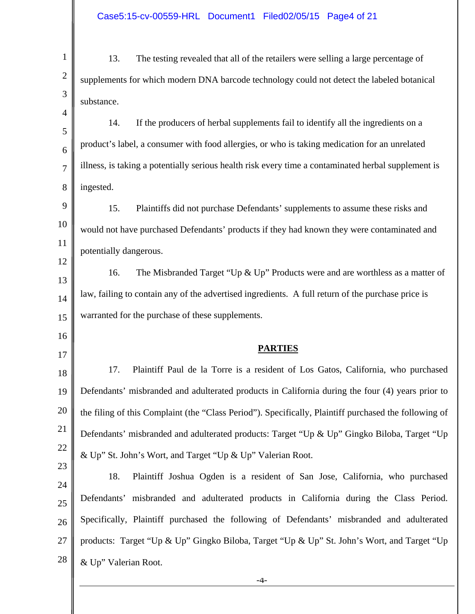| $\mathbf{1}$         | 13.<br>The testing revealed that all of the retailers were selling a large percentage of              |
|----------------------|-------------------------------------------------------------------------------------------------------|
| $\overline{2}$       | supplements for which modern DNA barcode technology could not detect the labeled botanical            |
| 3                    | substance.                                                                                            |
| 4                    | If the producers of herbal supplements fail to identify all the ingredients on a<br>14.               |
| 5<br>6               | product's label, a consumer with food allergies, or who is taking medication for an unrelated         |
| $\overline{7}$       | illness, is taking a potentially serious health risk every time a contaminated herbal supplement is   |
| 8                    | ingested.                                                                                             |
| 9                    | 15.<br>Plaintiffs did not purchase Defendants' supplements to assume these risks and                  |
| 10                   | would not have purchased Defendants' products if they had known they were contaminated and            |
| 11                   | potentially dangerous.                                                                                |
| 12                   | The Misbranded Target "Up $&$ Up" Products were and are worthless as a matter of<br>16.               |
| 13                   | law, failing to contain any of the advertised ingredients. A full return of the purchase price is     |
| 14                   |                                                                                                       |
|                      |                                                                                                       |
| 15                   | warranted for the purchase of these supplements.                                                      |
| 16<br>17             | <b>PARTIES</b>                                                                                        |
| 18                   | 17.<br>Plaintiff Paul de la Torre is a resident of Los Gatos, California, who purchased               |
| 19                   | Defendants' misbranded and adulterated products in California during the four (4) years prior to      |
| 20                   | the filing of this Complaint (the "Class Period"). Specifically, Plaintiff purchased the following of |
| 21                   | Defendants' misbranded and adulterated products: Target "Up & Up" Gingko Biloba, Target "Up           |
|                      | & Up" St. John's Wort, and Target "Up & Up" Valerian Root.                                            |
|                      | Plaintiff Joshua Ogden is a resident of San Jose, California, who purchased<br>18.                    |
| 24                   | Defendants' misbranded and adulterated products in California during the Class Period.                |
| 26                   | Specifically, Plaintiff purchased the following of Defendants' misbranded and adulterated             |
| 22<br>23<br>25<br>27 | products: Target "Up & Up" Gingko Biloba, Target "Up & Up" St. John's Wort, and Target "Up            |
| 28                   | & Up" Valerian Root.                                                                                  |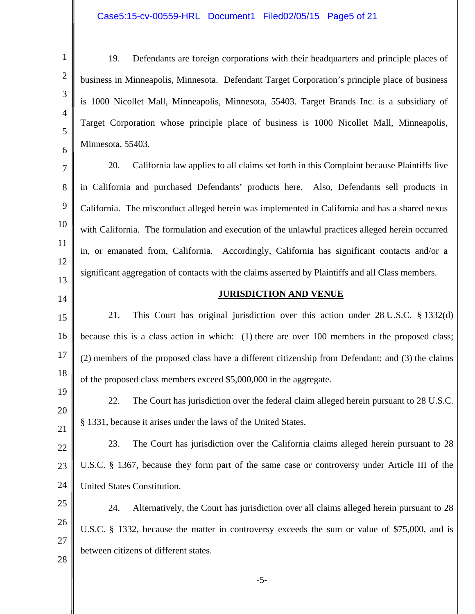### Case5:15-cv-00559-HRL Document1 Filed02/05/15 Page5 of 21

| $\mathbf{1}$        | Defendants are foreign corporations with their headquarters and principle places of<br>19.        |
|---------------------|---------------------------------------------------------------------------------------------------|
| $\overline{2}$      | business in Minneapolis, Minnesota. Defendant Target Corporation's principle place of business    |
| 3                   | is 1000 Nicollet Mall, Minneapolis, Minnesota, 55403. Target Brands Inc. is a subsidiary of       |
| $\overline{4}$<br>5 | Target Corporation whose principle place of business is 1000 Nicollet Mall, Minneapolis,          |
| 6                   | Minnesota, 55403.                                                                                 |
| 7                   | California law applies to all claims set forth in this Complaint because Plaintiffs live<br>20.   |
| 8                   | in California and purchased Defendants' products here. Also, Defendants sell products in          |
| 9                   | California. The misconduct alleged herein was implemented in California and has a shared nexus    |
| 10                  | with California. The formulation and execution of the unlawful practices alleged herein occurred  |
| 11                  | in, or emanated from, California. Accordingly, California has significant contacts and/or a       |
| 12                  | significant aggregation of contacts with the claims asserted by Plaintiffs and all Class members. |
| 13                  | <b>JURISDICTION AND VENUE</b>                                                                     |
| 14<br>15            | 21.<br>This Court has original jurisdiction over this action under $28 \text{ U.S.C. }$ \$1332(d) |
| 16                  | because this is a class action in which: (1) there are over 100 members in the proposed class;    |
| 17                  | (2) members of the proposed class have a different citizenship from Defendant; and (3) the claims |
| 18                  | of the proposed class members exceed \$5,000,000 in the aggregate.                                |
| 19                  | The Court has jurisdiction over the federal claim alleged herein pursuant to 28 U.S.C.<br>22.     |
| 20                  |                                                                                                   |
| 21                  | § 1331, because it arises under the laws of the United States.                                    |
| 22                  | The Court has jurisdiction over the California claims alleged herein pursuant to 28<br>23.        |
| 23                  | U.S.C. § 1367, because they form part of the same case or controversy under Article III of the    |
| 24                  | United States Constitution.                                                                       |
| 25<br>26            | Alternatively, the Court has jurisdiction over all claims alleged herein pursuant to 28<br>24.    |
| 27                  | U.S.C. § 1332, because the matter in controversy exceeds the sum or value of \$75,000, and is     |
| 28                  | between citizens of different states.                                                             |
|                     | $-5-$                                                                                             |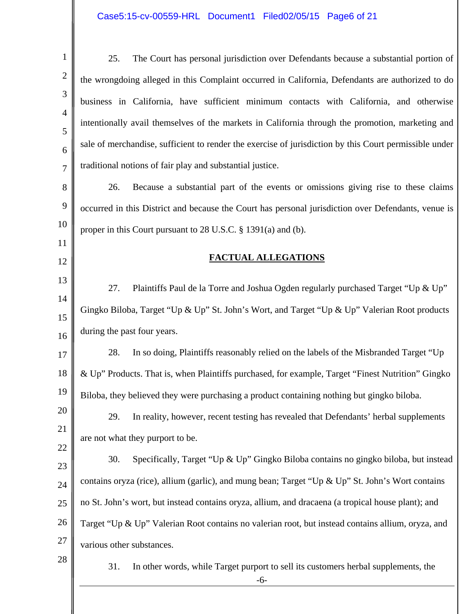| the wrongdoing alleged in this Complaint occurred in California, Defendants are authorized to do<br>business in California, have sufficient minimum contacts with California, and otherwise<br>intentionally avail themselves of the markets in California through the promotion, marketing and |
|-------------------------------------------------------------------------------------------------------------------------------------------------------------------------------------------------------------------------------------------------------------------------------------------------|
|                                                                                                                                                                                                                                                                                                 |
|                                                                                                                                                                                                                                                                                                 |
|                                                                                                                                                                                                                                                                                                 |
| sale of merchandise, sufficient to render the exercise of jurisdiction by this Court permissible under                                                                                                                                                                                          |
|                                                                                                                                                                                                                                                                                                 |
| Because a substantial part of the events or omissions giving rise to these claims                                                                                                                                                                                                               |
| occurred in this District and because the Court has personal jurisdiction over Defendants, venue is                                                                                                                                                                                             |
|                                                                                                                                                                                                                                                                                                 |
|                                                                                                                                                                                                                                                                                                 |
|                                                                                                                                                                                                                                                                                                 |
| Plaintiffs Paul de la Torre and Joshua Ogden regularly purchased Target "Up & Up"                                                                                                                                                                                                               |
| Gingko Biloba, Target "Up & Up" St. John's Wort, and Target "Up & Up" Valerian Root products                                                                                                                                                                                                    |
|                                                                                                                                                                                                                                                                                                 |
| In so doing, Plaintiffs reasonably relied on the labels of the Misbranded Target "Up                                                                                                                                                                                                            |
| & Up" Products. That is, when Plaintiffs purchased, for example, Target "Finest Nutrition" Gingko                                                                                                                                                                                               |
| Biloba, they believed they were purchasing a product containing nothing but gingko biloba.                                                                                                                                                                                                      |
| In reality, however, recent testing has revealed that Defendants' herbal supplements                                                                                                                                                                                                            |
|                                                                                                                                                                                                                                                                                                 |
| Specifically, Target "Up & Up" Gingko Biloba contains no gingko biloba, but instead                                                                                                                                                                                                             |
| contains oryza (rice), allium (garlic), and mung bean; Target "Up & Up" St. John's Wort contains                                                                                                                                                                                                |
| no St. John's wort, but instead contains oryza, allium, and dracaena (a tropical house plant); and                                                                                                                                                                                              |
| Target "Up & Up" Valerian Root contains no valerian root, but instead contains allium, oryza, and                                                                                                                                                                                               |
|                                                                                                                                                                                                                                                                                                 |
|                                                                                                                                                                                                                                                                                                 |
|                                                                                                                                                                                                                                                                                                 |

║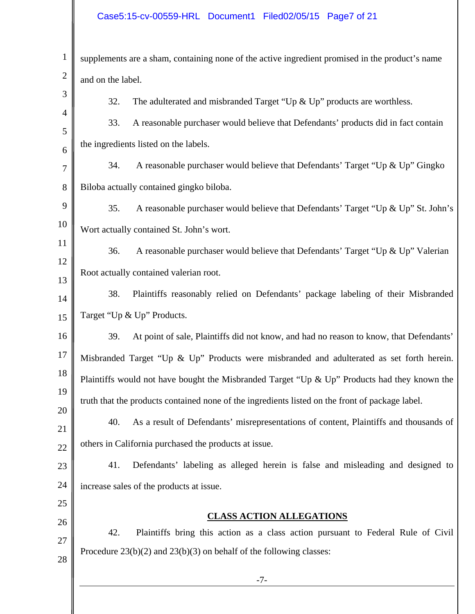## Case5:15-cv-00559-HRL Document1 Filed02/05/15 Page7 of 21

| $\mathbf{1}$   | supplements are a sham, containing none of the active ingredient promised in the product's name |
|----------------|-------------------------------------------------------------------------------------------------|
| $\overline{2}$ | and on the label.                                                                               |
| 3              | 32.<br>The adulterated and misbranded Target "Up $\&$ Up" products are worthless.               |
| $\overline{4}$ | A reasonable purchaser would believe that Defendants' products did in fact contain<br>33.       |
| 5<br>6         | the ingredients listed on the labels.                                                           |
| 7              | A reasonable purchaser would believe that Defendants' Target "Up & Up" Gingko<br>34.            |
| 8              | Biloba actually contained gingko biloba.                                                        |
| 9              | 35.<br>A reasonable purchaser would believe that Defendants' Target "Up & Up" St. John's        |
| 10             | Wort actually contained St. John's wort.                                                        |
| 11             | 36.<br>A reasonable purchaser would believe that Defendants' Target "Up & Up" Valerian          |
| 12             | Root actually contained valerian root.                                                          |
| 13<br>14       | Plaintiffs reasonably relied on Defendants' package labeling of their Misbranded<br>38.         |
| 15             | Target "Up & Up" Products.                                                                      |
| 16             | At point of sale, Plaintiffs did not know, and had no reason to know, that Defendants'<br>39.   |
| 17             | Misbranded Target "Up & Up" Products were misbranded and adulterated as set forth herein.       |
| 18             | Plaintiffs would not have bought the Misbranded Target "Up & Up" Products had they known the    |
| 19             | truth that the products contained none of the ingredients listed on the front of package label. |
| 20             | As a result of Defendants' misrepresentations of content, Plaintiffs and thousands of<br>40.    |
| 21<br>22       | others in California purchased the products at issue.                                           |
| 23             | Defendants' labeling as alleged herein is false and misleading and designed to<br>41.           |
| 24             | increase sales of the products at issue.                                                        |
| 25             |                                                                                                 |
| 26             | <b>CLASS ACTION ALLEGATIONS</b>                                                                 |
| 27             | 42.<br>Plaintiffs bring this action as a class action pursuant to Federal Rule of Civil         |
| 28             | Procedure $23(b)(2)$ and $23(b)(3)$ on behalf of the following classes:                         |
|                | $-7-$                                                                                           |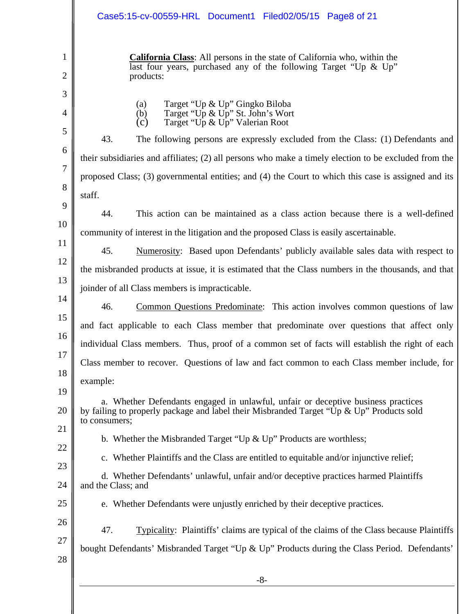|                                | Case5:15-cv-00559-HRL Document1 Filed02/05/15 Page8 of 21                                                                                                                                                           |
|--------------------------------|---------------------------------------------------------------------------------------------------------------------------------------------------------------------------------------------------------------------|
| $\mathbf{1}$<br>$\overline{2}$ | <b>California Class:</b> All persons in the state of California who, within the<br>last four years, purchased any of the following Target "Up & Up"<br>products:                                                    |
| 3<br>4<br>5                    | Target "Up & Up" Gingko Biloba<br>(a)<br>Target "Up & Up" St. John's Wort<br>(b)<br>(c)<br>Target "Up & Up" Valerian Root<br>43.<br>The following persons are expressly excluded from the Class: (1) Defendants and |
| 6                              | their subsidiaries and affiliates; (2) all persons who make a timely election to be excluded from the                                                                                                               |
| 7                              | proposed Class; (3) governmental entities; and (4) the Court to which this case is assigned and its                                                                                                                 |
| 8                              | staff.                                                                                                                                                                                                              |
| 9                              |                                                                                                                                                                                                                     |
| 10                             | 44.<br>This action can be maintained as a class action because there is a well-defined                                                                                                                              |
| 11                             | community of interest in the litigation and the proposed Class is easily ascertainable.                                                                                                                             |
| 12                             | 45.<br>Numerosity: Based upon Defendants' publicly available sales data with respect to                                                                                                                             |
| 13                             | the misbranded products at issue, it is estimated that the Class numbers in the thousands, and that                                                                                                                 |
| 14                             | joinder of all Class members is impracticable.                                                                                                                                                                      |
| 15                             | 46.<br>Common Questions Predominate: This action involves common questions of law                                                                                                                                   |
|                                | and fact applicable to each Class member that predominate over questions that affect only                                                                                                                           |
| 16                             | individual Class members. Thus, proof of a common set of facts will establish the right of each                                                                                                                     |
| 17                             | Class member to recover. Questions of law and fact common to each Class member include, for                                                                                                                         |
| 18                             | example:                                                                                                                                                                                                            |
| 19<br>20                       | a. Whether Defendants engaged in unlawful, unfair or deceptive business practices<br>by failing to properly package and label their Misbranded Target "Up & Up" Products sold<br>to consumers;                      |
| 21                             | b. Whether the Misbranded Target "Up $\&$ Up" Products are worthless;                                                                                                                                               |
| 22                             | c. Whether Plaintiffs and the Class are entitled to equitable and/or injunctive relief;                                                                                                                             |
| 23<br>24                       | d. Whether Defendants' unlawful, unfair and/or deceptive practices harmed Plaintiffs<br>and the Class; and                                                                                                          |
| 25                             | e. Whether Defendants were unjustly enriched by their deceptive practices.                                                                                                                                          |
| 26                             | 47.<br><b>Typicality:</b> Plaintiffs' claims are typical of the claims of the Class because Plaintiffs                                                                                                              |
| 27                             | bought Defendants' Misbranded Target "Up & Up" Products during the Class Period. Defendants'                                                                                                                        |
| 28                             |                                                                                                                                                                                                                     |
|                                | $-8-$                                                                                                                                                                                                               |
|                                |                                                                                                                                                                                                                     |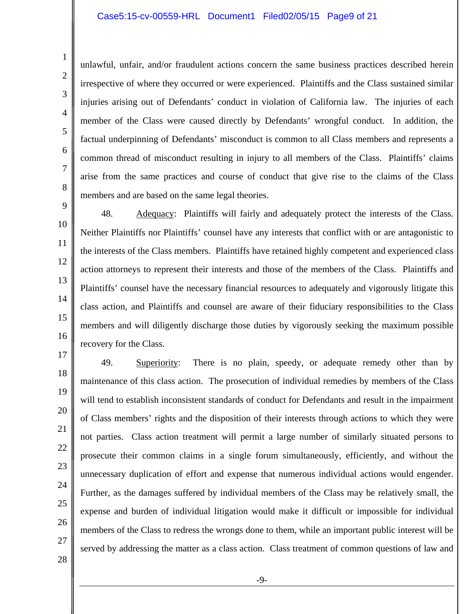#### Case5:15-cv-00559-HRL Document1 Filed02/05/15 Page9 of 21

unlawful, unfair, and/or fraudulent actions concern the same business practices described herein irrespective of where they occurred or were experienced. Plaintiffs and the Class sustained similar injuries arising out of Defendants' conduct in violation of California law. The injuries of each member of the Class were caused directly by Defendants' wrongful conduct. In addition, the factual underpinning of Defendants' misconduct is common to all Class members and represents a common thread of misconduct resulting in injury to all members of the Class. Plaintiffs' claims arise from the same practices and course of conduct that give rise to the claims of the Class members and are based on the same legal theories.

1

2

3

4

5

6

7

8

9

48. Adequacy: Plaintiffs will fairly and adequately protect the interests of the Class. Neither Plaintiffs nor Plaintiffs' counsel have any interests that conflict with or are antagonistic to the interests of the Class members. Plaintiffs have retained highly competent and experienced class action attorneys to represent their interests and those of the members of the Class. Plaintiffs and Plaintiffs' counsel have the necessary financial resources to adequately and vigorously litigate this class action, and Plaintiffs and counsel are aware of their fiduciary responsibilities to the Class members and will diligently discharge those duties by vigorously seeking the maximum possible recovery for the Class.

18 19 20 21 22 23 24 25 26 27 49. Superiority: There is no plain, speedy, or adequate remedy other than by maintenance of this class action. The prosecution of individual remedies by members of the Class will tend to establish inconsistent standards of conduct for Defendants and result in the impairment of Class members' rights and the disposition of their interests through actions to which they were not parties. Class action treatment will permit a large number of similarly situated persons to prosecute their common claims in a single forum simultaneously, efficiently, and without the unnecessary duplication of effort and expense that numerous individual actions would engender. Further, as the damages suffered by individual members of the Class may be relatively small, the expense and burden of individual litigation would make it difficult or impossible for individual members of the Class to redress the wrongs done to them, while an important public interest will be served by addressing the matter as a class action. Class treatment of common questions of law and

28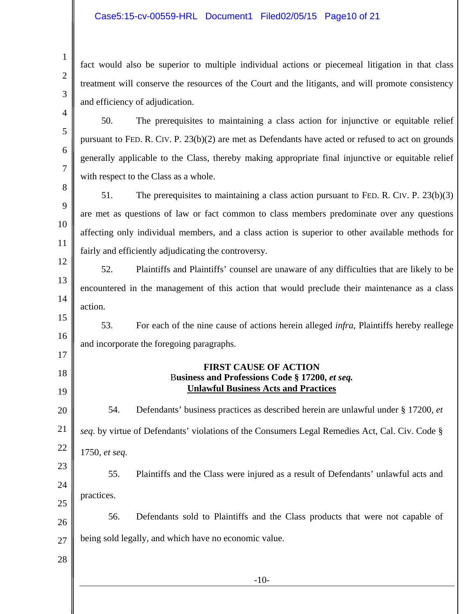#### Case5:15-cv-00559-HRL Document1 Filed02/05/15 Page10 of 21

fact would also be superior to multiple individual actions or piecemeal litigation in that class treatment will conserve the resources of the Court and the litigants, and will promote consistency and efficiency of adjudication.

50. The prerequisites to maintaining a class action for injunctive or equitable relief pursuant to FED. R. CIV. P. 23(b)(2) are met as Defendants have acted or refused to act on grounds generally applicable to the Class, thereby making appropriate final injunctive or equitable relief with respect to the Class as a whole.

8 9 10 51. The prerequisites to maintaining a class action pursuant to FED. R. CIV. P. 23(b)(3) are met as questions of law or fact common to class members predominate over any questions affecting only individual members, and a class action is superior to other available methods for fairly and efficiently adjudicating the controversy.

12 13 14 52. Plaintiffs and Plaintiffs' counsel are unaware of any difficulties that are likely to be encountered in the management of this action that would preclude their maintenance as a class action.

15 16 53. For each of the nine cause of actions herein alleged *infra*, Plaintiffs hereby reallege and incorporate the foregoing paragraphs.

### **FIRST CAUSE OF ACTION**  B**usiness and Professions Code § 17200,** *et seq.*  **Unlawful Business Acts and Practices**

20 21 22 23 24 25 26 27 54. Defendants' business practices as described herein are unlawful under § 17200, *et seq*. by virtue of Defendants' violations of the Consumers Legal Remedies Act, Cal. Civ. Code § 1750, *et seq*. 55. Plaintiffs and the Class were injured as a result of Defendants' unlawful acts and practices. 56. Defendants sold to Plaintiffs and the Class products that were not capable of being sold legally, and which have no economic value.

28

1

2

3

4

5

6

7

11

17

18

19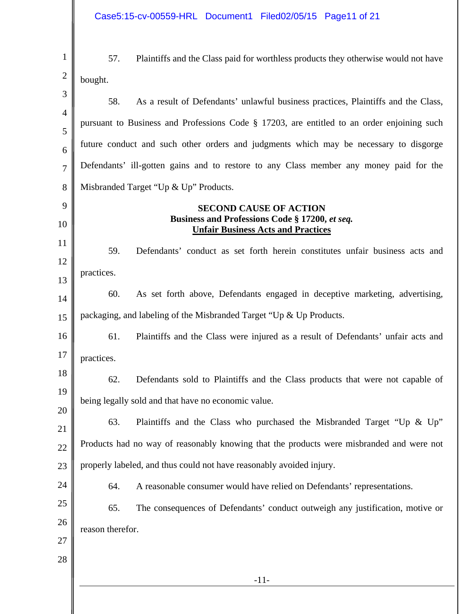Case5:15-cv-00559-HRL Document1 Filed02/05/15 Page11 of 21

 $\sim$ 

║

1 2 57. Plaintiffs and the Class paid for worthless products they otherwise would not have bought.

| C                   | 58.              | As a result of Defendants' unlawful business practices, Plaintiffs and the Class,                                            |
|---------------------|------------------|------------------------------------------------------------------------------------------------------------------------------|
| $\overline{4}$<br>5 |                  | pursuant to Business and Professions Code § 17203, are entitled to an order enjoining such                                   |
| 6                   |                  | future conduct and such other orders and judgments which may be necessary to disgorge                                        |
| $\overline{7}$      |                  | Defendants' ill-gotten gains and to restore to any Class member any money paid for the                                       |
| 8                   |                  | Misbranded Target "Up & Up" Products.                                                                                        |
| 9<br>10             |                  | <b>SECOND CAUSE OF ACTION</b><br>Business and Professions Code § 17200, et seq.<br><b>Unfair Business Acts and Practices</b> |
| 11<br>12            | 59.              | Defendants' conduct as set forth herein constitutes unfair business acts and                                                 |
| 13                  | practices.       |                                                                                                                              |
| 14                  | 60.              | As set forth above, Defendants engaged in deceptive marketing, advertising,                                                  |
| 15                  |                  | packaging, and labeling of the Misbranded Target "Up & Up Products.                                                          |
| 16                  | 61.              | Plaintiffs and the Class were injured as a result of Defendants' unfair acts and                                             |
| 17                  | practices.       |                                                                                                                              |
| 18                  | 62.              | Defendants sold to Plaintiffs and the Class products that were not capable of                                                |
| 19                  |                  | being legally sold and that have no economic value.                                                                          |
| 20<br>21            | 63.              | Plaintiffs and the Class who purchased the Misbranded Target "Up & Up"                                                       |
| $22\,$              |                  | Products had no way of reasonably knowing that the products were misbranded and were not                                     |
| 23                  |                  | properly labeled, and thus could not have reasonably avoided injury.                                                         |
| 24                  | 64.              | A reasonable consumer would have relied on Defendants' representations.                                                      |
| 25                  | 65.              | The consequences of Defendants' conduct outweigh any justification, motive or                                                |
| 26                  | reason therefor. |                                                                                                                              |
| 27                  |                  |                                                                                                                              |
| 28                  |                  |                                                                                                                              |
|                     |                  | $-11-$                                                                                                                       |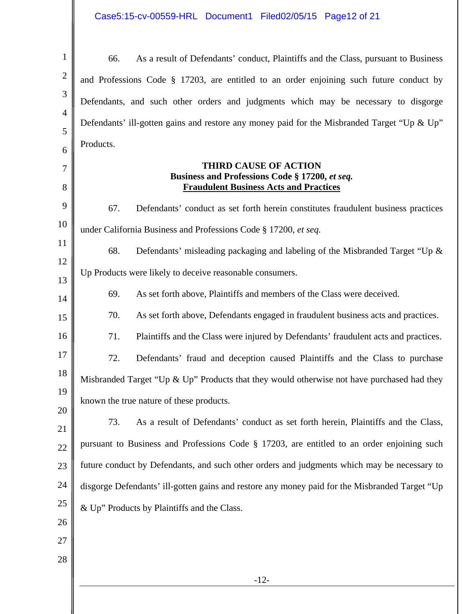# Case5:15-cv-00559-HRL Document1 Filed02/05/15 Page12 of 21

| $\mathbf{1}$   | 66.<br>As a result of Defendants' conduct, Plaintiffs and the Class, pursuant to Business                                       |
|----------------|---------------------------------------------------------------------------------------------------------------------------------|
| $\overline{2}$ | and Professions Code § 17203, are entitled to an order enjoining such future conduct by                                         |
| 3              | Defendants, and such other orders and judgments which may be necessary to disgorge                                              |
| $\overline{4}$ | Defendants' ill-gotten gains and restore any money paid for the Misbranded Target "Up & Up"                                     |
| 5<br>6         | Products.                                                                                                                       |
| 7<br>8         | <b>THIRD CAUSE OF ACTION</b><br>Business and Professions Code § 17200, et seq.<br><b>Fraudulent Business Acts and Practices</b> |
| 9              | 67.<br>Defendants' conduct as set forth herein constitutes fraudulent business practices                                        |
| 10             | under California Business and Professions Code § 17200, et seq.                                                                 |
| 11             | 68.<br>Defendants' misleading packaging and labeling of the Misbranded Target "Up &                                             |
| 12             | Up Products were likely to deceive reasonable consumers.                                                                        |
| 13<br>14       | 69.<br>As set forth above, Plaintiffs and members of the Class were deceived.                                                   |
| 15             | 70.<br>As set forth above, Defendants engaged in fraudulent business acts and practices.                                        |
| 16             | 71.<br>Plaintiffs and the Class were injured by Defendants' fraudulent acts and practices.                                      |
| 17             | 72.<br>Defendants' fraud and deception caused Plaintiffs and the Class to purchase                                              |
| 18             | Misbranded Target "Up & Up" Products that they would otherwise not have purchased had they                                      |
| 19             | known the true nature of these products.                                                                                        |
| 20             | As a result of Defendants' conduct as set forth herein, Plaintiffs and the Class,<br>73.                                        |
| 21<br>22       | pursuant to Business and Professions Code § 17203, are entitled to an order enjoining such                                      |
| 23             | future conduct by Defendants, and such other orders and judgments which may be necessary to                                     |
| 24             | disgorge Defendants' ill-gotten gains and restore any money paid for the Misbranded Target "Up                                  |
| 25             | & Up" Products by Plaintiffs and the Class.                                                                                     |
| 26             |                                                                                                                                 |
| 27             |                                                                                                                                 |
| 28             |                                                                                                                                 |
|                | $-12-$                                                                                                                          |
|                |                                                                                                                                 |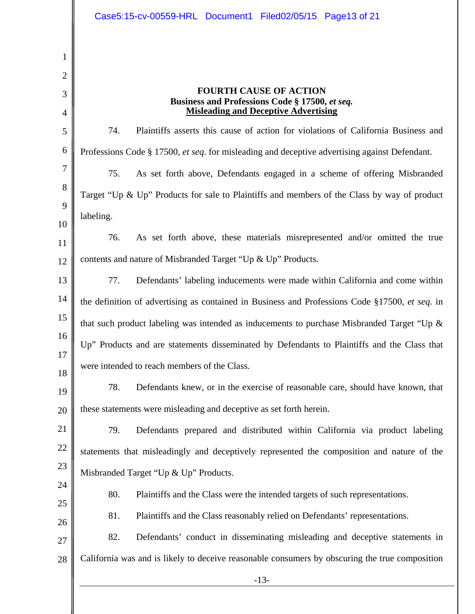-13- 1 2 3 4 5 6 7 8 9 10 11 12 13 14 15 16 17 18 19 20 21 22 23 24 25 26 27 28 **FOURTH CAUSE OF ACTION Business and Professions Code § 17500,** *et seq.*  **Misleading and Deceptive Advertising**  74. Plaintiffs asserts this cause of action for violations of California Business and Professions Code § 17500*, et seq*. for misleading and deceptive advertising against Defendant. 75. As set forth above, Defendants engaged in a scheme of offering Misbranded Target "Up & Up" Products for sale to Plaintiffs and members of the Class by way of product labeling. 76. As set forth above, these materials misrepresented and/or omitted the true contents and nature of Misbranded Target "Up & Up" Products. 77. Defendants' labeling inducements were made within California and come within the definition of advertising as contained in Business and Professions Code §17500, *et seq.* in that such product labeling was intended as inducements to purchase Misbranded Target "Up & Up" Products and are statements disseminated by Defendants to Plaintiffs and the Class that were intended to reach members of the Class. 78. Defendants knew, or in the exercise of reasonable care, should have known, that these statements were misleading and deceptive as set forth herein. 79. Defendants prepared and distributed within California via product labeling statements that misleadingly and deceptively represented the composition and nature of the Misbranded Target "Up & Up" Products. 80. Plaintiffs and the Class were the intended targets of such representations. 81. Plaintiffs and the Class reasonably relied on Defendants' representations. 82. Defendants' conduct in disseminating misleading and deceptive statements in California was and is likely to deceive reasonable consumers by obscuring the true composition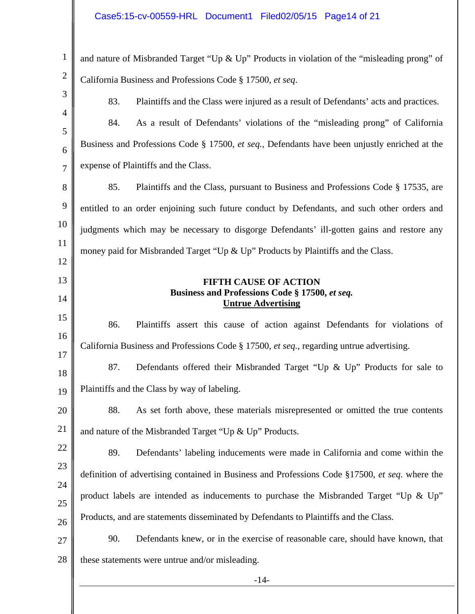| $\mathbf{1}$   | and nature of Misbranded Target "Up & Up" Products in violation of the "misleading prong" of   |  |
|----------------|------------------------------------------------------------------------------------------------|--|
| $\overline{2}$ | California Business and Professions Code § 17500, et seq.                                      |  |
| 3              | 83.<br>Plaintiffs and the Class were injured as a result of Defendants' acts and practices.    |  |
| $\overline{4}$ | 84.<br>As a result of Defendants' violations of the "misleading prong" of California           |  |
| 5<br>6         | Business and Professions Code § 17500, et seq., Defendants have been unjustly enriched at the  |  |
| $\overline{7}$ | expense of Plaintiffs and the Class.                                                           |  |
| 8              | 85.<br>Plaintiffs and the Class, pursuant to Business and Professions Code § 17535, are        |  |
| 9              | entitled to an order enjoining such future conduct by Defendants, and such other orders and    |  |
| 10             | judgments which may be necessary to disgorge Defendants' ill-gotten gains and restore any      |  |
| 11             | money paid for Misbranded Target "Up & Up" Products by Plaintiffs and the Class.               |  |
| 12             |                                                                                                |  |
| 13<br>14       | <b>FIFTH CAUSE OF ACTION</b><br>Business and Professions Code § 17500, et seq.                 |  |
| 15             | <b>Untrue Advertising</b>                                                                      |  |
| 16             | 86.<br>Plaintiffs assert this cause of action against Defendants for violations of             |  |
| 17             | California Business and Professions Code § 17500, et seq., regarding untrue advertising.       |  |
| 18             | 87.<br>Defendants offered their Misbranded Target "Up & Up" Products for sale to               |  |
| 19             | Plaintiffs and the Class by way of labeling.                                                   |  |
| 20             | 88.<br>As set forth above, these materials misrepresented or omitted the true contents         |  |
| 21             | and nature of the Misbranded Target "Up & Up" Products.                                        |  |
| 22             | 89.<br>Defendants' labeling inducements were made in California and come within the            |  |
| 23             | definition of advertising contained in Business and Professions Code §17500, et seq. where the |  |
| 24<br>25       | product labels are intended as inducements to purchase the Misbranded Target "Up & Up"         |  |
| 26             | Products, and are statements disseminated by Defendants to Plaintiffs and the Class.           |  |
| 27             | 90.<br>Defendants knew, or in the exercise of reasonable care, should have known, that         |  |
| 28             | these statements were untrue and/or misleading.                                                |  |
|                | $-14-$                                                                                         |  |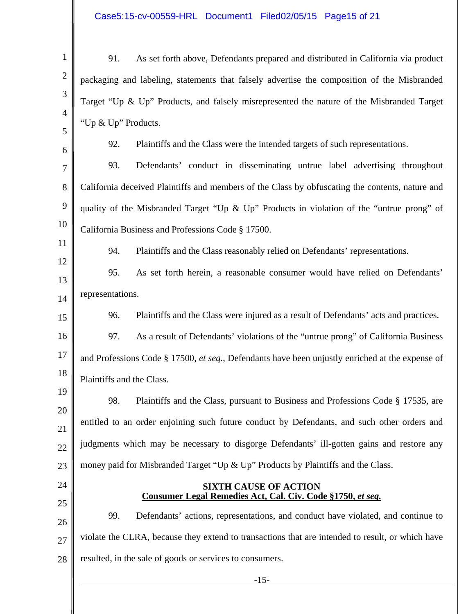# Case5:15-cv-00559-HRL Document1 Filed02/05/15 Page15 of 21

| $\mathbf{1}$   | As set forth above, Defendants prepared and distributed in California via product<br>91.         |
|----------------|--------------------------------------------------------------------------------------------------|
| $\mathbf{2}$   | packaging and labeling, statements that falsely advertise the composition of the Misbranded      |
| 3              | Target "Up & Up" Products, and falsely misrepresented the nature of the Misbranded Target        |
| $\overline{4}$ | "Up & Up" Products.                                                                              |
| 5<br>6         | 92.<br>Plaintiffs and the Class were the intended targets of such representations.               |
| $\overline{7}$ | Defendants' conduct in disseminating untrue label advertising throughout<br>93.                  |
| 8              | California deceived Plaintiffs and members of the Class by obfuscating the contents, nature and  |
| 9              | quality of the Misbranded Target "Up & Up" Products in violation of the "untrue prong" of        |
| 10             | California Business and Professions Code § 17500.                                                |
| 11             | 94.<br>Plaintiffs and the Class reasonably relied on Defendants' representations.                |
| 12             | 95.<br>As set forth herein, a reasonable consumer would have relied on Defendants'               |
| 13             | representations.                                                                                 |
| 14             | Plaintiffs and the Class were injured as a result of Defendants' acts and practices.<br>96.      |
| 15<br>16       | As a result of Defendants' violations of the "untrue prong" of California Business<br>97.        |
| 17             |                                                                                                  |
| 18             | and Professions Code § 17500, et seq., Defendants have been unjustly enriched at the expense of  |
| 19             | Plaintiffs and the Class.                                                                        |
| 20             | Plaintiffs and the Class, pursuant to Business and Professions Code § 17535, are<br>98.          |
| 21             | entitled to an order enjoining such future conduct by Defendants, and such other orders and      |
| 22             | judgments which may be necessary to disgorge Defendants' ill-gotten gains and restore any        |
| 23             | money paid for Misbranded Target "Up & Up" Products by Plaintiffs and the Class.                 |
| 24             | <b>SIXTH CAUSE OF ACTION</b><br>Consumer Legal Remedies Act, Cal. Civ. Code §1750, et seq.       |
| 25             | Defendants' actions, representations, and conduct have violated, and continue to<br>99.          |
| 26<br>27       | violate the CLRA, because they extend to transactions that are intended to result, or which have |
| 28             | resulted, in the sale of goods or services to consumers.                                         |
|                | $-15-$                                                                                           |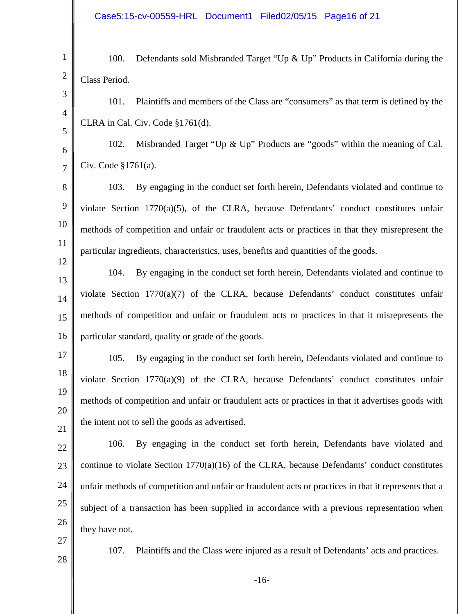1 2 3 4 5 6 7 8 9 10 11 12 13 14 15 16 17 18 19 20 21 22 23 100. Defendants sold Misbranded Target "Up & Up" Products in California during the Class Period. 101. Plaintiffs and members of the Class are "consumers" as that term is defined by the CLRA in Cal. Civ. Code §1761(d). 102. Misbranded Target "Up & Up" Products are "goods" within the meaning of Cal. Civ. Code §1761(a). 103. By engaging in the conduct set forth herein, Defendants violated and continue to violate Section 1770(a)(5), of the CLRA, because Defendants' conduct constitutes unfair methods of competition and unfair or fraudulent acts or practices in that they misrepresent the particular ingredients, characteristics, uses, benefits and quantities of the goods. 104. By engaging in the conduct set forth herein, Defendants violated and continue to violate Section 1770(a)(7) of the CLRA, because Defendants' conduct constitutes unfair methods of competition and unfair or fraudulent acts or practices in that it misrepresents the particular standard, quality or grade of the goods. 105. By engaging in the conduct set forth herein, Defendants violated and continue to violate Section 1770(a)(9) of the CLRA, because Defendants' conduct constitutes unfair methods of competition and unfair or fraudulent acts or practices in that it advertises goods with the intent not to sell the goods as advertised. 106. By engaging in the conduct set forth herein, Defendants have violated and continue to violate Section  $1770(a)(16)$  of the CLRA, because Defendants' conduct constitutes

26 27

they have not.

24

25

28

107. Plaintiffs and the Class were injured as a result of Defendants' acts and practices.

unfair methods of competition and unfair or fraudulent acts or practices in that it represents that a

subject of a transaction has been supplied in accordance with a previous representation when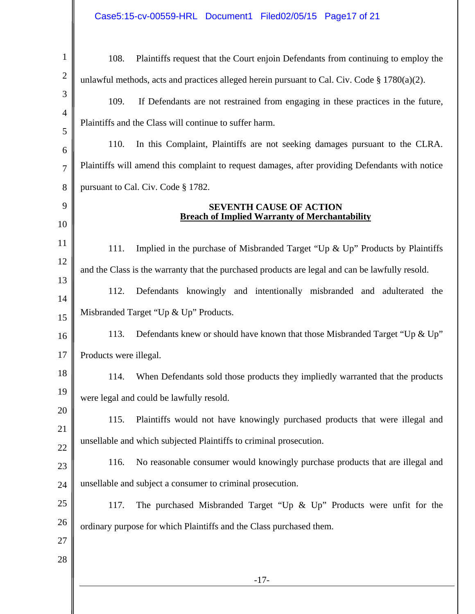| $\mathbf{1}$   | 108.<br>Plaintiffs request that the Court enjoin Defendants from continuing to employ the        |  |  |
|----------------|--------------------------------------------------------------------------------------------------|--|--|
| $\mathbf{2}$   | unlawful methods, acts and practices alleged herein pursuant to Cal. Civ. Code $\S 1780(a)(2)$ . |  |  |
| 3              | 109.<br>If Defendants are not restrained from engaging in these practices in the future,         |  |  |
| $\overline{4}$ | Plaintiffs and the Class will continue to suffer harm.                                           |  |  |
| 5<br>6         | 110.<br>In this Complaint, Plaintiffs are not seeking damages pursuant to the CLRA.              |  |  |
| $\overline{7}$ | Plaintiffs will amend this complaint to request damages, after providing Defendants with notice  |  |  |
| 8              | pursuant to Cal. Civ. Code § 1782.                                                               |  |  |
| 9              | <b>SEVENTH CAUSE OF ACTION</b>                                                                   |  |  |
| 10             | <b>Breach of Implied Warranty of Merchantability</b>                                             |  |  |
| 11             | Implied in the purchase of Misbranded Target "Up $\&$ Up" Products by Plaintiffs<br>111.         |  |  |
| 12             | and the Class is the warranty that the purchased products are legal and can be lawfully resold.  |  |  |
| 13             | 112.<br>Defendants knowingly and intentionally misbranded and adulterated the                    |  |  |
| 14             | Misbranded Target "Up & Up" Products.                                                            |  |  |
| 15<br>16       | 113.<br>Defendants knew or should have known that those Misbranded Target "Up & Up"              |  |  |
| 17             | Products were illegal.                                                                           |  |  |
| 18             | When Defendants sold those products they impliedly warranted that the products<br>114.           |  |  |
| 19             | were legal and could be lawfully resold.                                                         |  |  |
| 20             | Plaintiffs would not have knowingly purchased products that were illegal and                     |  |  |
| 21             | 115.                                                                                             |  |  |
| 22             | unsellable and which subjected Plaintiffs to criminal prosecution.                               |  |  |
| 23             | No reasonable consumer would knowingly purchase products that are illegal and<br>116.            |  |  |
| 24             | unsellable and subject a consumer to criminal prosecution.                                       |  |  |
| 25             | The purchased Misbranded Target "Up $\&$ Up" Products were unfit for the<br>117.                 |  |  |
| 26<br>27       | ordinary purpose for which Plaintiffs and the Class purchased them.                              |  |  |
| 28             |                                                                                                  |  |  |
|                | $-17-$                                                                                           |  |  |
|                |                                                                                                  |  |  |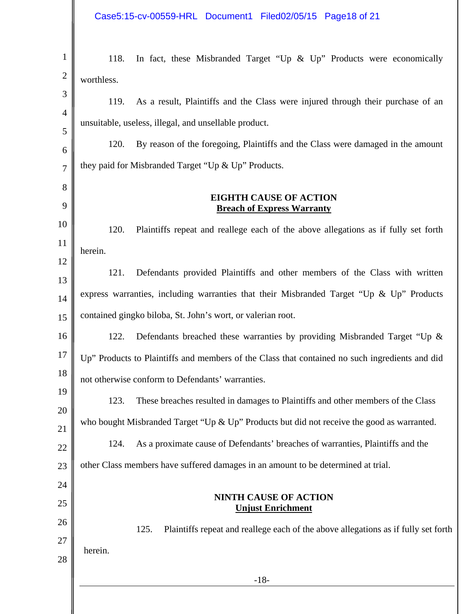# Case5:15-cv-00559-HRL Document1 Filed02/05/15 Page18 of 21

| In fact, these Misbranded Target "Up $\&$ Up" Products were economically<br>118.               |  |
|------------------------------------------------------------------------------------------------|--|
| worthless.                                                                                     |  |
| As a result, Plaintiffs and the Class were injured through their purchase of an<br>119.        |  |
| unsuitable, useless, illegal, and unsellable product.                                          |  |
| By reason of the foregoing, Plaintiffs and the Class were damaged in the amount<br>120.        |  |
| they paid for Misbranded Target "Up & Up" Products.                                            |  |
|                                                                                                |  |
| <b>EIGHTH CAUSE OF ACTION</b><br><b>Breach of Express Warranty</b>                             |  |
| 120.<br>Plaintiffs repeat and reallege each of the above allegations as if fully set forth     |  |
| herein.                                                                                        |  |
| Defendants provided Plaintiffs and other members of the Class with written<br>121.             |  |
| express warranties, including warranties that their Misbranded Target "Up & Up" Products       |  |
| contained gingko biloba, St. John's wort, or valerian root.                                    |  |
| Defendants breached these warranties by providing Misbranded Target "Up &<br>122.              |  |
| Up" Products to Plaintiffs and members of the Class that contained no such ingredients and did |  |
| not otherwise conform to Defendants' warranties.                                               |  |
| 123.<br>These breaches resulted in damages to Plaintiffs and other members of the Class        |  |
| who bought Misbranded Target "Up & Up" Products but did not receive the good as warranted.     |  |
| As a proximate cause of Defendants' breaches of warranties, Plaintiffs and the<br>124.         |  |
| other Class members have suffered damages in an amount to be determined at trial.              |  |
|                                                                                                |  |
| <b>NINTH CAUSE OF ACTION</b>                                                                   |  |
| <b>Unjust Enrichment</b>                                                                       |  |
| 125.<br>Plaintiffs repeat and reallege each of the above allegations as if fully set forth     |  |
| herein.                                                                                        |  |
| $-18-$                                                                                         |  |
|                                                                                                |  |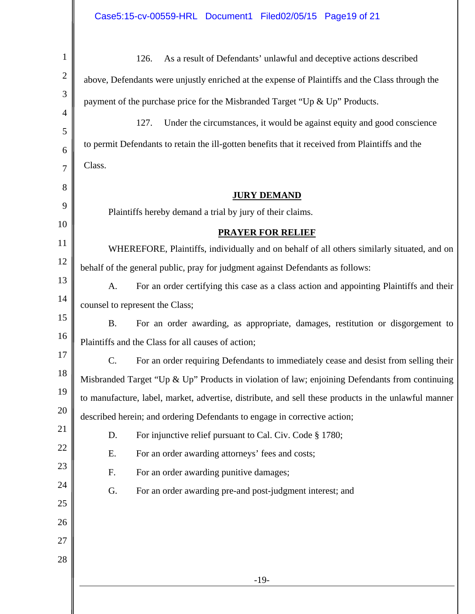| $\mathbf{1}$   | As a result of Defendants' unlawful and deceptive actions described<br>126.                          |  |  |
|----------------|------------------------------------------------------------------------------------------------------|--|--|
| $\mathbf{2}$   | above, Defendants were unjustly enriched at the expense of Plaintiffs and the Class through the      |  |  |
| 3              | payment of the purchase price for the Misbranded Target "Up & Up" Products.                          |  |  |
| $\overline{4}$ | 127.<br>Under the circumstances, it would be against equity and good conscience                      |  |  |
| 5<br>6         | to permit Defendants to retain the ill-gotten benefits that it received from Plaintiffs and the      |  |  |
| $\overline{7}$ | Class.                                                                                               |  |  |
| 8              |                                                                                                      |  |  |
| 9              | <b>JURY DEMAND</b>                                                                                   |  |  |
|                | Plaintiffs hereby demand a trial by jury of their claims.                                            |  |  |
| 10             | <b>PRAYER FOR RELIEF</b>                                                                             |  |  |
| 11             | WHEREFORE, Plaintiffs, individually and on behalf of all others similarly situated, and on           |  |  |
| 12             | behalf of the general public, pray for judgment against Defendants as follows:                       |  |  |
| 13             | A.<br>For an order certifying this case as a class action and appointing Plaintiffs and their        |  |  |
| 14             | counsel to represent the Class;                                                                      |  |  |
| 15             | <b>B.</b><br>For an order awarding, as appropriate, damages, restitution or disgorgement to          |  |  |
| 16             | Plaintiffs and the Class for all causes of action;                                                   |  |  |
| 17             | C.<br>For an order requiring Defendants to immediately cease and desist from selling their           |  |  |
| 18             | Misbranded Target "Up & Up" Products in violation of law; enjoining Defendants from continuing       |  |  |
| 19             | to manufacture, label, market, advertise, distribute, and sell these products in the unlawful manner |  |  |
| 20             | described herein; and ordering Defendants to engage in corrective action;                            |  |  |
| 21             | For injunctive relief pursuant to Cal. Civ. Code § 1780;<br>D.                                       |  |  |
| 22             | For an order awarding attorneys' fees and costs;<br>E.                                               |  |  |
| 23             | For an order awarding punitive damages;<br>F.                                                        |  |  |
| 24             | G.<br>For an order awarding pre-and post-judgment interest; and                                      |  |  |
| 25             |                                                                                                      |  |  |
| 26             |                                                                                                      |  |  |
| 27             |                                                                                                      |  |  |
| 28             |                                                                                                      |  |  |
|                | $-19-$                                                                                               |  |  |
|                |                                                                                                      |  |  |
|                |                                                                                                      |  |  |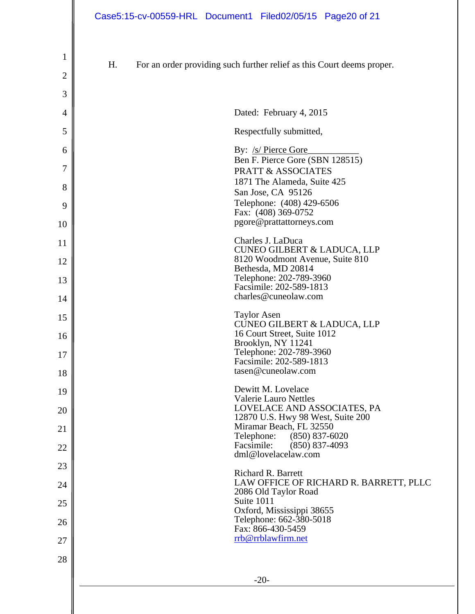| $\mathbf{1}$   |    |                                                                                   |
|----------------|----|-----------------------------------------------------------------------------------|
| $\overline{c}$ | H. | For an order providing such further relief as this Court deems proper.            |
| 3              |    |                                                                                   |
| 4              |    | Dated: February 4, 2015                                                           |
| 5              |    | Respectfully submitted,                                                           |
| 6              |    | By: /s/ Pierce Gore<br>Ben F. Pierce Gore (SBN 128515)                            |
| 7              |    | <b>PRATT &amp; ASSOCIATES</b>                                                     |
| 8              |    | 1871 The Alameda, Suite 425<br>San Jose, CA 95126                                 |
| 9<br>10        |    | Telephone: (408) 429-6506<br>Fax: (408) 369-0752<br>pgore@prattattorneys.com      |
| 11             |    | Charles J. LaDuca                                                                 |
| 12             |    | <b>CUNEO GILBERT &amp; LADUCA, LLP</b><br>8120 Woodmont Avenue, Suite 810         |
| 13             |    | Bethesda, MD 20814<br>Telephone: 202-789-3960<br>Facsimile: 202-589-1813          |
| 14             |    | charles@cuneolaw.com                                                              |
| 15             |    | <b>Taylor Asen</b><br><b>CUNEO GILBERT &amp; LADUCA, LLP</b>                      |
| 16             |    | 16 Court Street, Suite 1012<br>Brooklyn, NY 11241                                 |
| 17             |    | Telephone: 202-789-3960<br>Facsimile: 202-589-1813                                |
| 18             |    | tasen@cuneolaw.com                                                                |
| 19             |    | Dewitt M. Lovelace<br><b>Valerie Lauro Nettles</b><br>LOVELACE AND ASSOCIATES, PA |
| 20             |    | 12870 U.S. Hwy 98 West, Suite 200<br>Miramar Beach, FL 32550                      |
| 21<br>22       |    | Telephone:<br>$(850) 837 - 6020$<br>Facsimile:<br>$(850)$ 837-4093                |
| 23             |    | dml@lovelacelaw.com                                                               |
| 24             |    | <b>Richard R. Barrett</b><br>LAW OFFICE OF RICHARD R. BARRETT, PLLC               |
| 25             |    | 2086 Old Taylor Road<br>Suite 1011                                                |
| 26             |    | Oxford, Mississippi 38655<br>Telephone: 662-380-5018<br>Fax: 866-430-5459         |
| 27             |    | rrb@rrblawfirm.net                                                                |
| 28             |    |                                                                                   |
|                |    | $-20-$                                                                            |